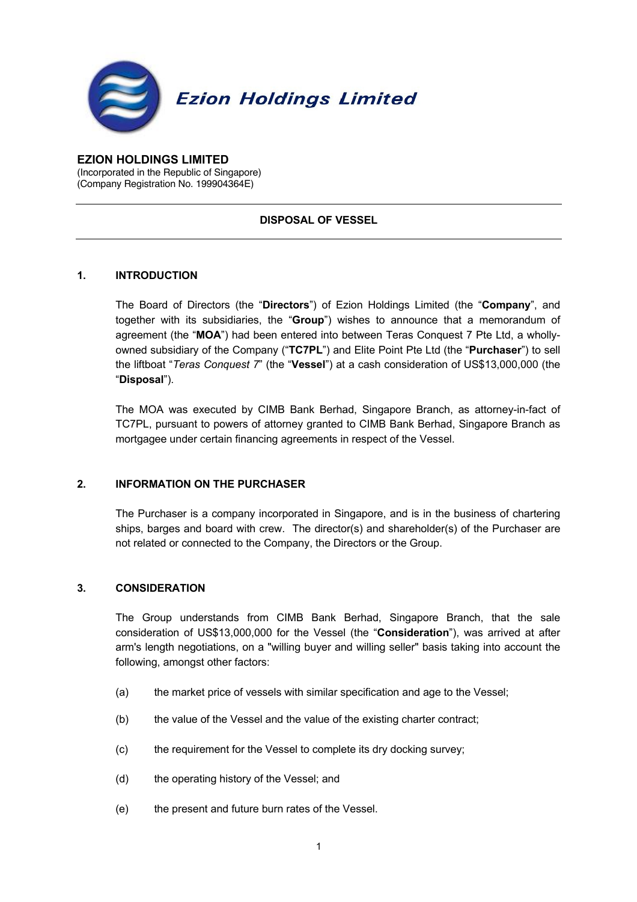

**EZION HOLDINGS LIMITED** (Incorporated in the Republic of Singapore) (Company Registration No. 199904364E)

# **DISPOSAL OF VESSEL**

# **1. INTRODUCTION**

The Board of Directors (the "**Directors**") of Ezion Holdings Limited (the "**Company**", and together with its subsidiaries, the "**Group**") wishes to announce that a memorandum of agreement (the "**MOA**") had been entered into between Teras Conquest 7 Pte Ltd, a whollyowned subsidiary of the Company ("**TC7PL**") and Elite Point Pte Ltd (the "**Purchaser**") to sell the liftboat "*Teras Conquest 7*" (the "**Vessel**") at a cash consideration of US\$13,000,000 (the "**Disposal**").

The MOA was executed by CIMB Bank Berhad, Singapore Branch, as attorney-in-fact of TC7PL, pursuant to powers of attorney granted to CIMB Bank Berhad, Singapore Branch as mortgagee under certain financing agreements in respect of the Vessel.

## **2. INFORMATION ON THE PURCHASER**

The Purchaser is a company incorporated in Singapore, and is in the business of chartering ships, barges and board with crew. The director(s) and shareholder(s) of the Purchaser are not related or connected to the Company, the Directors or the Group.

## **3. CONSIDERATION**

The Group understands from CIMB Bank Berhad, Singapore Branch, that the sale consideration of US\$13,000,000 for the Vessel (the "**Consideration**"), was arrived at after arm's length negotiations, on a "willing buyer and willing seller" basis taking into account the following, amongst other factors:

- (a) the market price of vessels with similar specification and age to the Vessel;
- (b) the value of the Vessel and the value of the existing charter contract;
- (c) the requirement for the Vessel to complete its dry docking survey;
- (d) the operating history of the Vessel; and
- (e) the present and future burn rates of the Vessel.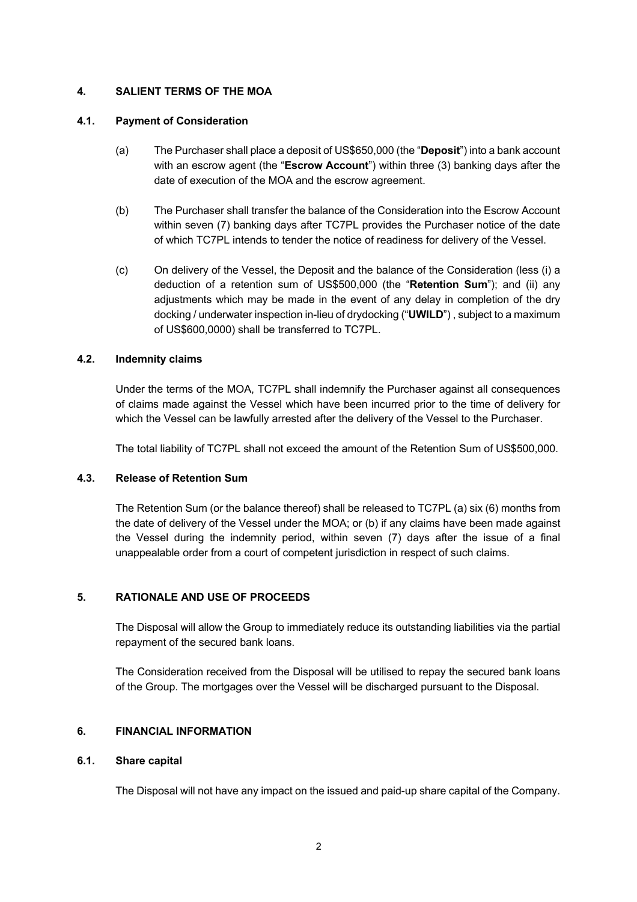## **4. SALIENT TERMS OF THE MOA**

#### **4.1. Payment of Consideration**

- (a) The Purchaser shall place a deposit of US\$650,000 (the "**Deposit**") into a bank account with an escrow agent (the "**Escrow Account**") within three (3) banking days after the date of execution of the MOA and the escrow agreement.
- (b) The Purchaser shall transfer the balance of the Consideration into the Escrow Account within seven (7) banking days after TC7PL provides the Purchaser notice of the date of which TC7PL intends to tender the notice of readiness for delivery of the Vessel.
- (c) On delivery of the Vessel, the Deposit and the balance of the Consideration (less (i) a deduction of a retention sum of US\$500,000 (the "**Retention Sum**"); and (ii) any adjustments which may be made in the event of any delay in completion of the dry docking / underwater inspection in-lieu of drydocking ("**UWILD**") , subject to a maximum of US\$600,0000) shall be transferred to TC7PL.

## **4.2. Indemnity claims**

Under the terms of the MOA, TC7PL shall indemnify the Purchaser against all consequences of claims made against the Vessel which have been incurred prior to the time of delivery for which the Vessel can be lawfully arrested after the delivery of the Vessel to the Purchaser.

The total liability of TC7PL shall not exceed the amount of the Retention Sum of US\$500,000.

## **4.3. Release of Retention Sum**

The Retention Sum (or the balance thereof) shall be released to TC7PL (a) six (6) months from the date of delivery of the Vessel under the MOA; or (b) if any claims have been made against the Vessel during the indemnity period, within seven (7) days after the issue of a final unappealable order from a court of competent jurisdiction in respect of such claims.

## **5. RATIONALE AND USE OF PROCEEDS**

The Disposal will allow the Group to immediately reduce its outstanding liabilities via the partial repayment of the secured bank loans.

The Consideration received from the Disposal will be utilised to repay the secured bank loans of the Group. The mortgages over the Vessel will be discharged pursuant to the Disposal.

## **6. FINANCIAL INFORMATION**

#### **6.1. Share capital**

The Disposal will not have any impact on the issued and paid-up share capital of the Company.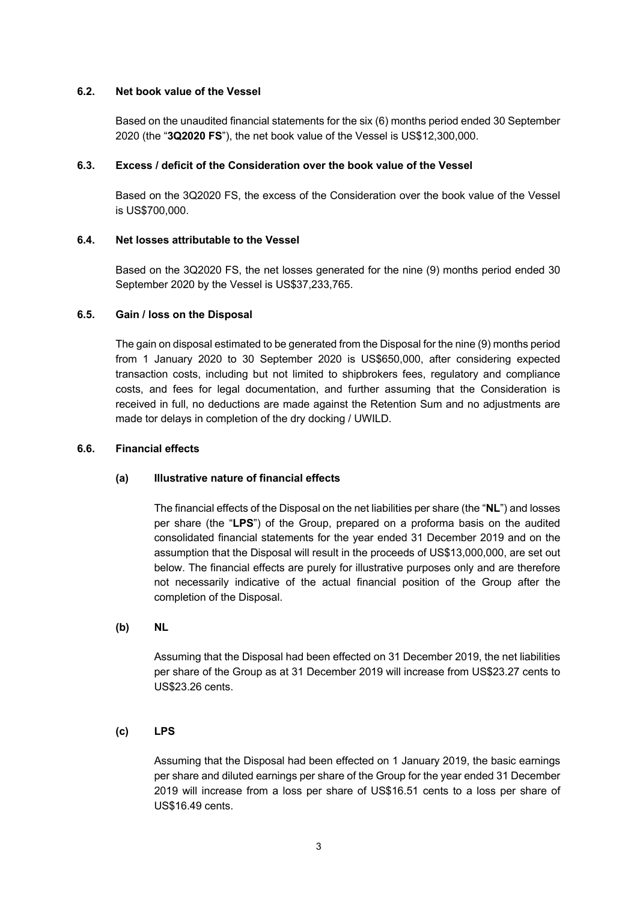#### **6.2. Net book value of the Vessel**

Based on the unaudited financial statements for the six (6) months period ended 30 September 2020 (the "**3Q2020 FS**"), the net book value of the Vessel is US\$12,300,000.

#### **6.3. Excess / deficit of the Consideration over the book value of the Vessel**

Based on the 3Q2020 FS, the excess of the Consideration over the book value of the Vessel is US\$700,000.

#### **6.4. Net losses attributable to the Vessel**

Based on the 3Q2020 FS, the net losses generated for the nine (9) months period ended 30 September 2020 by the Vessel is US\$37,233,765.

#### **6.5. Gain / loss on the Disposal**

The gain on disposal estimated to be generated from the Disposal for the nine (9) months period from 1 January 2020 to 30 September 2020 is US\$650,000, after considering expected transaction costs, including but not limited to shipbrokers fees, regulatory and compliance costs, and fees for legal documentation, and further assuming that the Consideration is received in full, no deductions are made against the Retention Sum and no adjustments are made tor delays in completion of the dry docking / UWILD.

#### **6.6. Financial effects**

## **(a) Illustrative nature of financial effects**

The financial effects of the Disposal on the net liabilities per share (the "**NL**") and losses per share (the "**LPS**") of the Group, prepared on a proforma basis on the audited consolidated financial statements for the year ended 31 December 2019 and on the assumption that the Disposal will result in the proceeds of US\$13,000,000, are set out below. The financial effects are purely for illustrative purposes only and are therefore not necessarily indicative of the actual financial position of the Group after the completion of the Disposal.

# **(b) NL**

Assuming that the Disposal had been effected on 31 December 2019, the net liabilities per share of the Group as at 31 December 2019 will increase from US\$23.27 cents to US\$23.26 cents.

## **(c) LPS**

Assuming that the Disposal had been effected on 1 January 2019, the basic earnings per share and diluted earnings per share of the Group for the year ended 31 December 2019 will increase from a loss per share of US\$16.51 cents to a loss per share of US\$16.49 cents.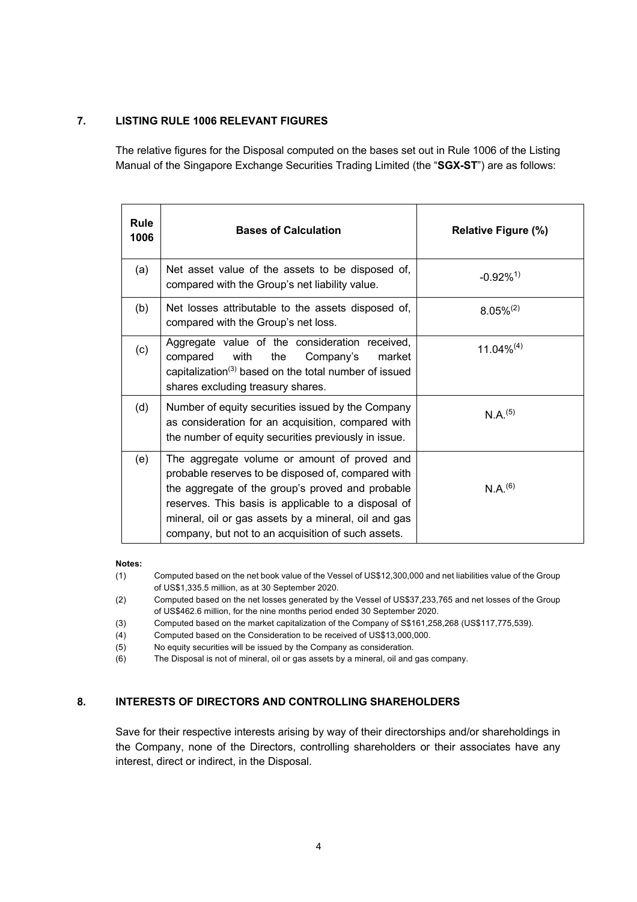## **7. LISTING RULE 1006 RELEVANT FIGURES**

The relative figures for the Disposal computed on the bases set out in Rule 1006 of the Listing Manual of the Singapore Exchange Securities Trading Limited (the "**SGX-ST**") are as follows:

| <b>Rule</b><br>1006 | <b>Bases of Calculation</b>                                                                                                                                                                                                                                                                                                 | <b>Relative Figure (%)</b> |
|---------------------|-----------------------------------------------------------------------------------------------------------------------------------------------------------------------------------------------------------------------------------------------------------------------------------------------------------------------------|----------------------------|
| (a)                 | Net asset value of the assets to be disposed of,<br>compared with the Group's net liability value.                                                                                                                                                                                                                          | $-0.92\%$ <sup>1)</sup>    |
| (b)                 | Net losses attributable to the assets disposed of,<br>compared with the Group's net loss.                                                                                                                                                                                                                                   | $8.05\%^{(2)}$             |
| (c)                 | Aggregate value of the consideration received,<br>with<br>Company's<br>compared<br>the<br>market<br>capitalization <sup>(3)</sup> based on the total number of issued<br>shares excluding treasury shares.                                                                                                                  | $11.04\%^{(4)}$            |
| (d)                 | Number of equity securities issued by the Company<br>as consideration for an acquisition, compared with<br>the number of equity securities previously in issue.                                                                                                                                                             | N.A. <sup>(5)</sup>        |
| (e)                 | The aggregate volume or amount of proved and<br>probable reserves to be disposed of, compared with<br>the aggregate of the group's proved and probable<br>reserves. This basis is applicable to a disposal of<br>mineral, oil or gas assets by a mineral, oil and gas<br>company, but not to an acquisition of such assets. | $N.A.^{(6)}$               |

#### **Notes:**

(1) Computed based on the net book value of the Vessel of US\$12,300,000 and net liabilities value of the Group of US\$1,335.5 million, as at 30 September 2020.

(2) Computed based on the net losses generated by the Vessel of US\$37,233,765 and net losses of the Group of US\$462.6 million, for the nine months period ended 30 September 2020.

(3) Computed based on the market capitalization of the Company of S\$161,258,268 (US\$117,775,539).

(4) Computed based on the Consideration to be received of US\$13,000,000.

(5) No equity securities will be issued by the Company as consideration.

(6) The Disposal is not of mineral, oil or gas assets by a mineral, oil and gas company.

# **8. INTERESTS OF DIRECTORS AND CONTROLLING SHAREHOLDERS**

Save for their respective interests arising by way of their directorships and/or shareholdings in the Company, none of the Directors, controlling shareholders or their associates have any interest, direct or indirect, in the Disposal.